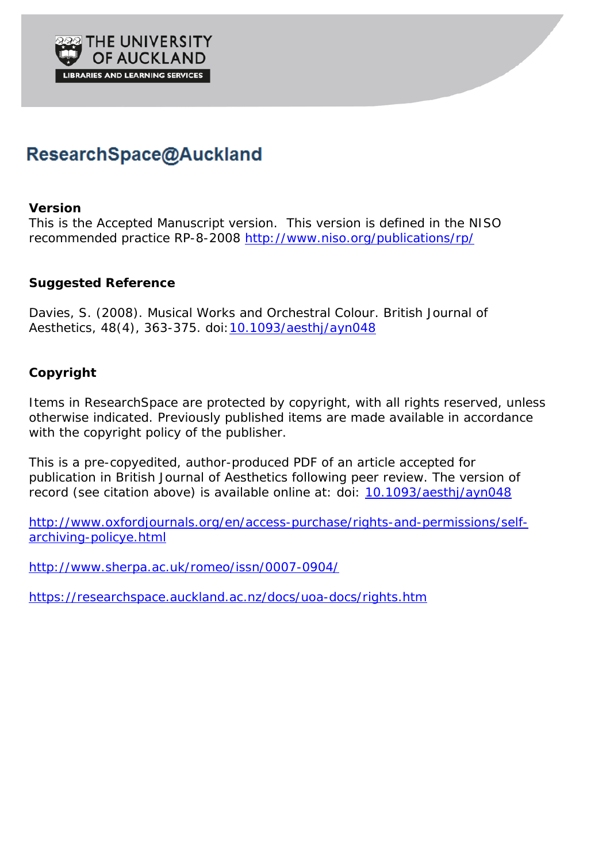

# ResearchSpace@Auckland

## **Version**

This is the Accepted Manuscript version. This version is defined in the NISO recommended practice RP-8-2008<http://www.niso.org/publications/rp/>

# **Suggested Reference**

Davies, S. (2008). Musical Works and Orchestral Colour. *British Journal of Aesthetics*, *48*(4), 363-375. doi[:10.1093/aesthj/ayn048](http://dx.doi.org/10.1093/aesthj/ayn048)

# **Copyright**

Items in ResearchSpace are protected by copyright, with all rights reserved, unless otherwise indicated. Previously published items are made available in accordance with the copyright policy of the publisher.

This is a pre-copyedited, author-produced PDF of an article accepted for publication in *British Journal of Aesthetics* following peer review. The version of record (see citation above) is available online at: doi: [10.1093/aesthj/ayn048](http://dx.doi.org/10.1093/aesthj/ayn048)

[http://www.oxfordjournals.org/en/access-purchase/rights-and-permissions/self](http://www.oxfordjournals.org/en/access-purchase/rights-and-permissions/self-archiving-policye.html)[archiving-policye.html](http://www.oxfordjournals.org/en/access-purchase/rights-and-permissions/self-archiving-policye.html)

<http://www.sherpa.ac.uk/romeo/issn/0007-0904/>

<https://researchspace.auckland.ac.nz/docs/uoa-docs/rights.htm>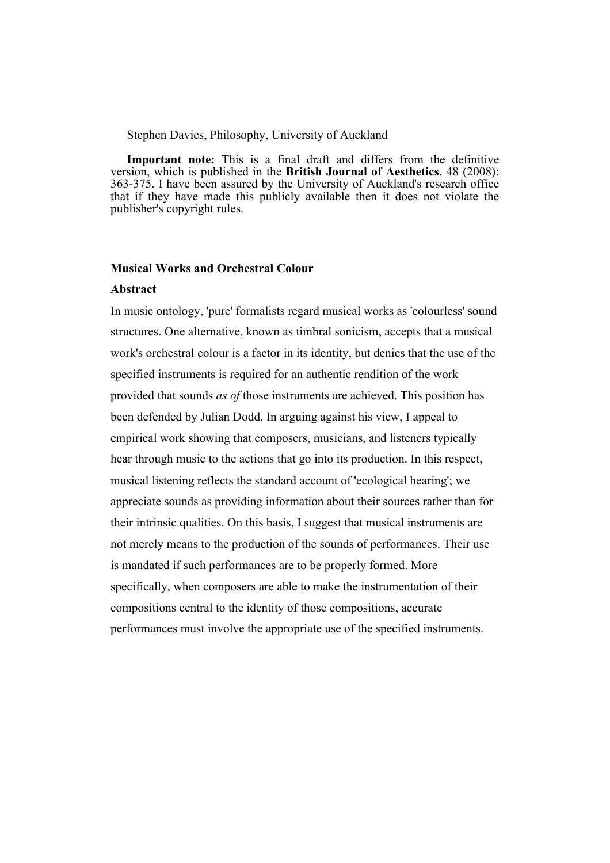#### Stephen Davies, Philosophy, University of Auckland

**Important note:** This is a final draft and differs from the definitive version, which is published in the **British Journal of Aesthetics**, 48 (2008): 363-375. I have been assured by the University of Auckland's research office that if they have made this publicly available then it does not violate the publisher's copyright rules.

#### **Musical Works and Orchestral Colour**

## **Abstract**

In music ontology, 'pure' formalists regard musical works as 'colourless' sound structures. One alternative, known as timbral sonicism, accepts that a musical work's orchestral colour is a factor in its identity, but denies that the use of the specified instruments is required for an authentic rendition of the work provided that sounds *as of* those instruments are achieved. This position has been defended by Julian Dodd. In arguing against his view, I appeal to empirical work showing that composers, musicians, and listeners typically hear through music to the actions that go into its production. In this respect, musical listening reflects the standard account of 'ecological hearing'; we appreciate sounds as providing information about their sources rather than for their intrinsic qualities. On this basis, I suggest that musical instruments are not merely means to the production of the sounds of performances. Their use is mandated if such performances are to be properly formed. More specifically, when composers are able to make the instrumentation of their compositions central to the identity of those compositions, accurate performances must involve the appropriate use of the specified instruments.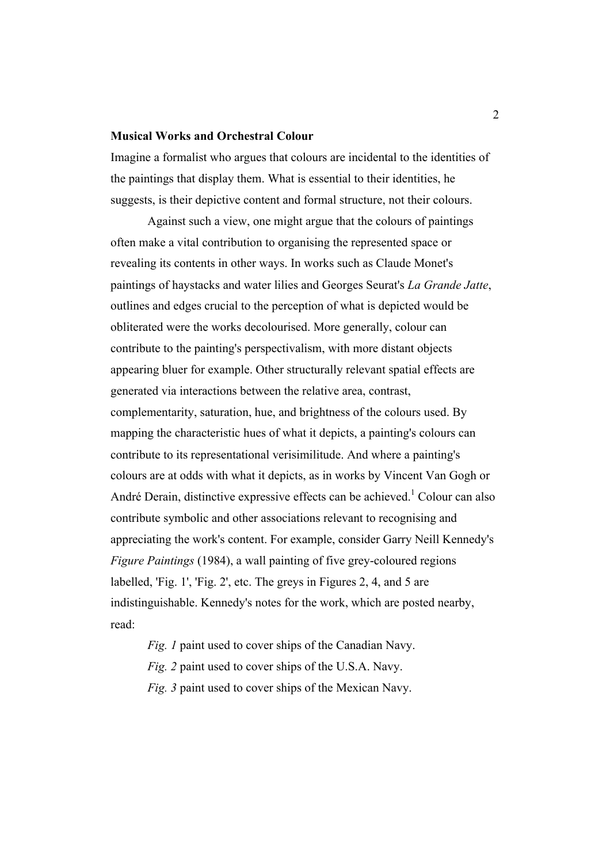#### **Musical Works and Orchestral Colour**

Imagine a formalist who argues that colours are incidental to the identities of the paintings that display them. What is essential to their identities, he suggests, is their depictive content and formal structure, not their colours.

Against such a view, one might argue that the colours of paintings often make a vital contribution to organising the represented space or revealing its contents in other ways. In works such as Claude Monet's paintings of haystacks and water lilies and Georges Seurat's *La Grande Jatte*, outlines and edges crucial to the perception of what is depicted would be obliterated were the works decolourised. More generally, colour can contribute to the painting's perspectivalism, with more distant objects appearing bluer for example. Other structurally relevant spatial effects are generated via interactions between the relative area, contrast, complementarity, saturation, hue, and brightness of the colours used. By mapping the characteristic hues of what it depicts, a painting's colours can contribute to its representational verisimilitude. And where a painting's colours are at odds with what it depicts, as in works by Vincent Van Gogh or André Derain, distinctive expressive effects can be achieved.<sup>1</sup> Colour can also contribute symbolic and other associations relevant to recognising and appreciating the work's content. For example, consider Garry Neill Kennedy's *Figure Paintings* (1984), a wall painting of five grey-coloured regions labelled, 'Fig. 1', 'Fig. 2', etc. The greys in Figures 2, 4, and 5 are indistinguishable. Kennedy's notes for the work, which are posted nearby, read:

*Fig. 1* paint used to cover ships of the Canadian Navy. *Fig. 2* paint used to cover ships of the U.S.A. Navy. *Fig. 3* paint used to cover ships of the Mexican Navy.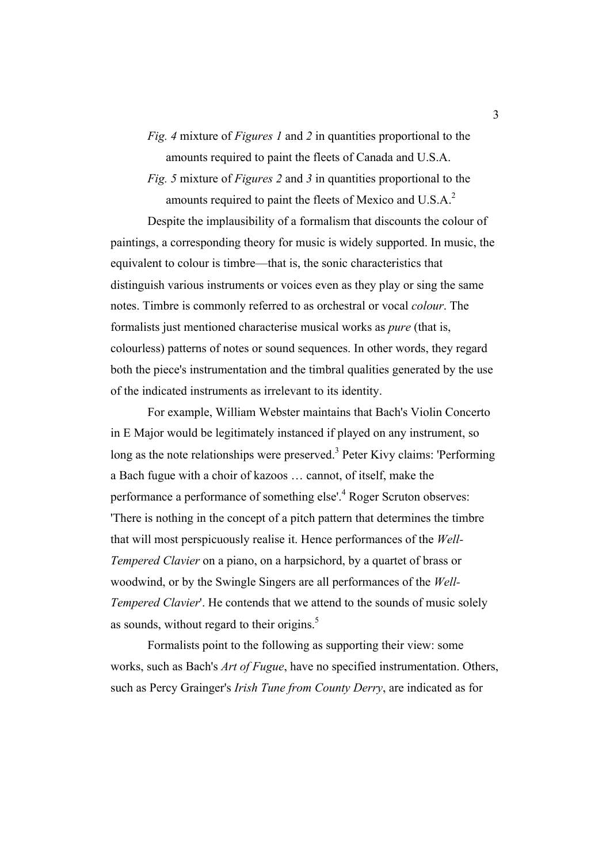*Fig. 4* mixture of *Figures 1* and *2* in quantities proportional to the amounts required to paint the fleets of Canada and U.S.A.

*Fig. 5* mixture of *Figures 2* and *3* in quantities proportional to the amounts required to paint the fleets of Mexico and U.S.A.<sup>2</sup>

Despite the implausibility of a formalism that discounts the colour of paintings, a corresponding theory for music is widely supported. In music, the equivalent to colour is timbre—that is, the sonic characteristics that distinguish various instruments or voices even as they play or sing the same notes. Timbre is commonly referred to as orchestral or vocal *colour*. The formalists just mentioned characterise musical works as *pure* (that is, colourless) patterns of notes or sound sequences. In other words, they regard both the piece's instrumentation and the timbral qualities generated by the use of the indicated instruments as irrelevant to its identity.

For example, William Webster maintains that Bach's Violin Concerto in E Major would be legitimately instanced if played on any instrument, so long as the note relationships were preserved.<sup>3</sup> Peter Kivy claims: 'Performing' a Bach fugue with a choir of kazoos … cannot, of itself, make the performance a performance of something else'.<sup>4</sup> Roger Scruton observes: 'There is nothing in the concept of a pitch pattern that determines the timbre that will most perspicuously realise it. Hence performances of the *Well-Tempered Clavier* on a piano, on a harpsichord, by a quartet of brass or woodwind, or by the Swingle Singers are all performances of the *Well-Tempered Clavier*'. He contends that we attend to the sounds of music solely as sounds, without regard to their origins.<sup>5</sup>

Formalists point to the following as supporting their view: some works, such as Bach's *Art of Fugue*, have no specified instrumentation. Others, such as Percy Grainger's *Irish Tune from County Derry*, are indicated as for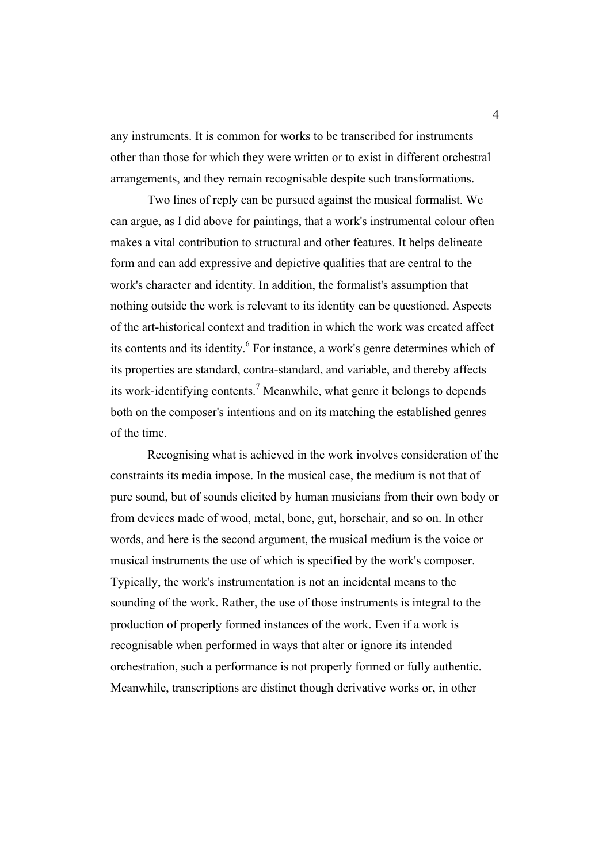any instruments. It is common for works to be transcribed for instruments other than those for which they were written or to exist in different orchestral arrangements, and they remain recognisable despite such transformations.

Two lines of reply can be pursued against the musical formalist. We can argue, as I did above for paintings, that a work's instrumental colour often makes a vital contribution to structural and other features. It helps delineate form and can add expressive and depictive qualities that are central to the work's character and identity. In addition, the formalist's assumption that nothing outside the work is relevant to its identity can be questioned. Aspects of the art-historical context and tradition in which the work was created affect its contents and its identity.<sup>6</sup> For instance, a work's genre determines which of its properties are standard, contra-standard, and variable, and thereby affects its work-identifying contents.<sup>7</sup> Meanwhile, what genre it belongs to depends both on the composer's intentions and on its matching the established genres of the time.

Recognising what is achieved in the work involves consideration of the constraints its media impose. In the musical case, the medium is not that of pure sound, but of sounds elicited by human musicians from their own body or from devices made of wood, metal, bone, gut, horsehair, and so on. In other words, and here is the second argument, the musical medium is the voice or musical instruments the use of which is specified by the work's composer. Typically, the work's instrumentation is not an incidental means to the sounding of the work. Rather, the use of those instruments is integral to the production of properly formed instances of the work. Even if a work is recognisable when performed in ways that alter or ignore its intended orchestration, such a performance is not properly formed or fully authentic. Meanwhile, transcriptions are distinct though derivative works or, in other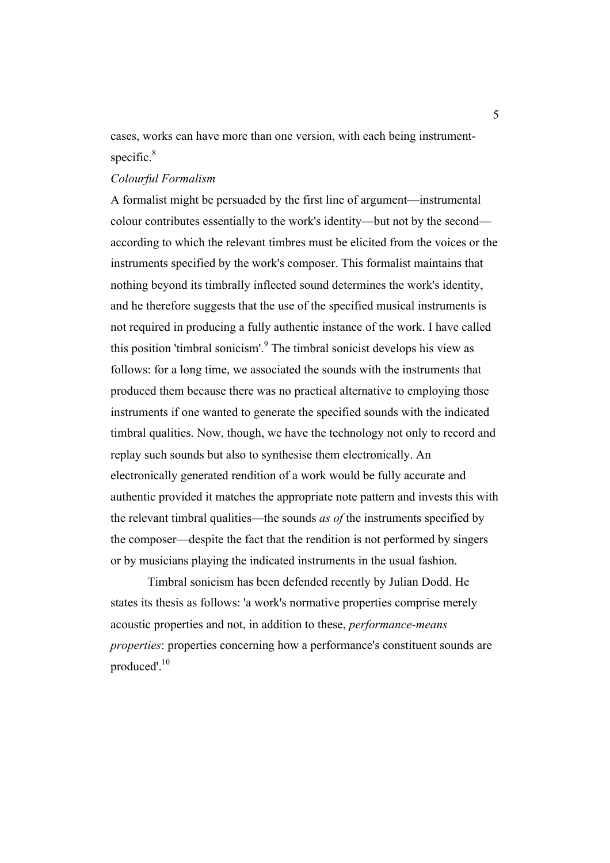cases, works can have more than one version, with each being instrumentspecific.<sup>8</sup>

## *Colourful Formalism*

A formalist might be persuaded by the first line of argument—instrumental colour contributes essentially to the work's identity—but not by the second according to which the relevant timbres must be elicited from the voices or the instruments specified by the work's composer. This formalist maintains that nothing beyond its timbrally inflected sound determines the work's identity, and he therefore suggests that the use of the specified musical instruments is not required in producing a fully authentic instance of the work. I have called this position 'timbral sonicism'.<sup>9</sup> The timbral sonicist develops his view as follows: for a long time, we associated the sounds with the instruments that produced them because there was no practical alternative to employing those instruments if one wanted to generate the specified sounds with the indicated timbral qualities. Now, though, we have the technology not only to record and replay such sounds but also to synthesise them electronically. An electronically generated rendition of a work would be fully accurate and authentic provided it matches the appropriate note pattern and invests this with the relevant timbral qualities—the sounds *as of* the instruments specified by the composer—despite the fact that the rendition is not performed by singers or by musicians playing the indicated instruments in the usual fashion.

Timbral sonicism has been defended recently by Julian Dodd. He states its thesis as follows: 'a work's normative properties comprise merely acoustic properties and not, in addition to these, *performance-means properties*: properties concerning how a performance's constituent sounds are produced'.<sup>10</sup>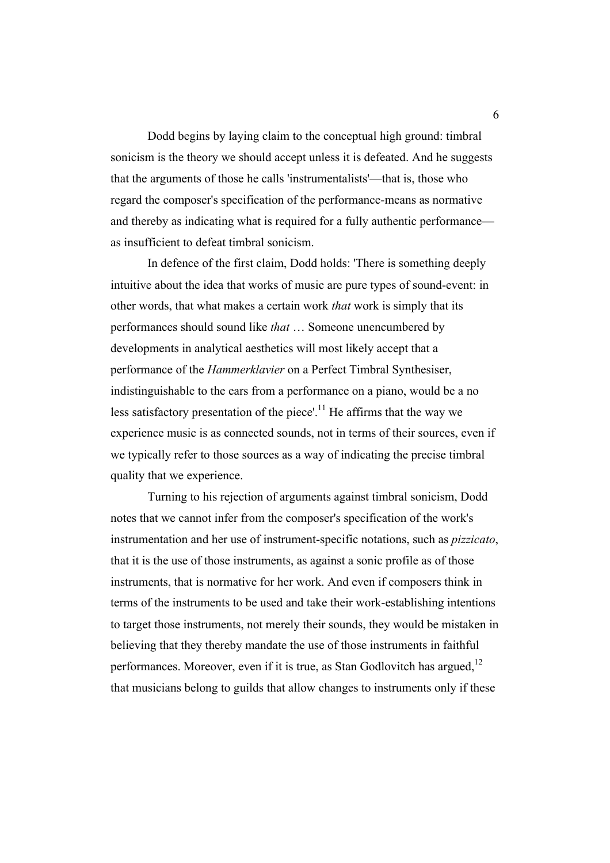Dodd begins by laying claim to the conceptual high ground: timbral sonicism is the theory we should accept unless it is defeated. And he suggests that the arguments of those he calls 'instrumentalists'—that is, those who regard the composer's specification of the performance-means as normative and thereby as indicating what is required for a fully authentic performance as insufficient to defeat timbral sonicism.

In defence of the first claim, Dodd holds: 'There is something deeply intuitive about the idea that works of music are pure types of sound-event: in other words, that what makes a certain work *that* work is simply that its performances should sound like *that* … Someone unencumbered by developments in analytical aesthetics will most likely accept that a performance of the *Hammerklavier* on a Perfect Timbral Synthesiser, indistinguishable to the ears from a performance on a piano, would be a no less satisfactory presentation of the piece'.<sup>11</sup> He affirms that the way we experience music is as connected sounds, not in terms of their sources, even if we typically refer to those sources as a way of indicating the precise timbral quality that we experience.

Turning to his rejection of arguments against timbral sonicism, Dodd notes that we cannot infer from the composer's specification of the work's instrumentation and her use of instrument-specific notations, such as *pizzicato*, that it is the use of those instruments, as against a sonic profile as of those instruments, that is normative for her work. And even if composers think in terms of the instruments to be used and take their work-establishing intentions to target those instruments, not merely their sounds, they would be mistaken in believing that they thereby mandate the use of those instruments in faithful performances. Moreover, even if it is true, as Stan Godlovitch has argued,<sup>12</sup> that musicians belong to guilds that allow changes to instruments only if these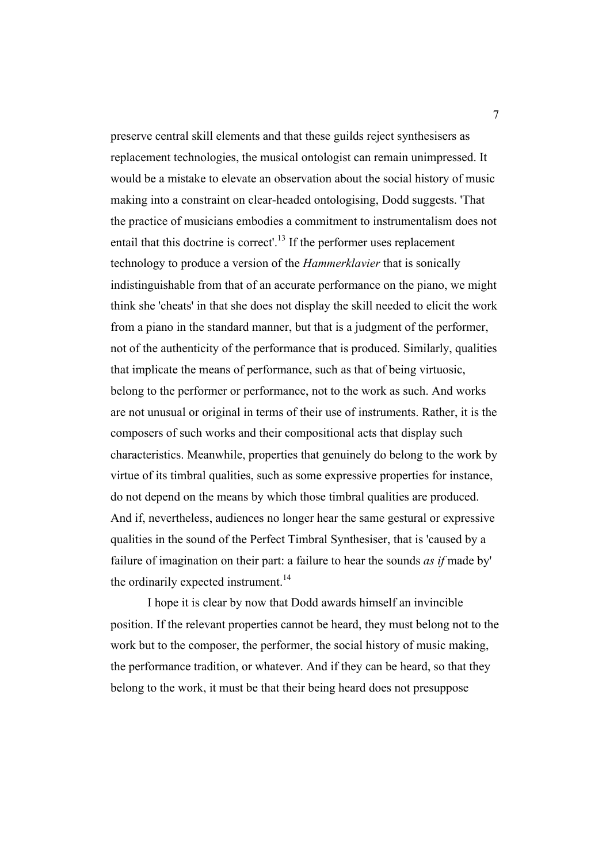preserve central skill elements and that these guilds reject synthesisers as replacement technologies, the musical ontologist can remain unimpressed. It would be a mistake to elevate an observation about the social history of music making into a constraint on clear-headed ontologising, Dodd suggests. 'That the practice of musicians embodies a commitment to instrumentalism does not entail that this doctrine is correct'.<sup>13</sup> If the performer uses replacement technology to produce a version of the *Hammerklavier* that is sonically indistinguishable from that of an accurate performance on the piano, we might think she 'cheats' in that she does not display the skill needed to elicit the work from a piano in the standard manner, but that is a judgment of the performer, not of the authenticity of the performance that is produced. Similarly, qualities that implicate the means of performance, such as that of being virtuosic, belong to the performer or performance, not to the work as such. And works are not unusual or original in terms of their use of instruments. Rather, it is the composers of such works and their compositional acts that display such characteristics. Meanwhile, properties that genuinely do belong to the work by virtue of its timbral qualities, such as some expressive properties for instance, do not depend on the means by which those timbral qualities are produced. And if, nevertheless, audiences no longer hear the same gestural or expressive qualities in the sound of the Perfect Timbral Synthesiser, that is 'caused by a failure of imagination on their part: a failure to hear the sounds *as if* made by' the ordinarily expected instrument.<sup>14</sup>

I hope it is clear by now that Dodd awards himself an invincible position. If the relevant properties cannot be heard, they must belong not to the work but to the composer, the performer, the social history of music making, the performance tradition, or whatever. And if they can be heard, so that they belong to the work, it must be that their being heard does not presuppose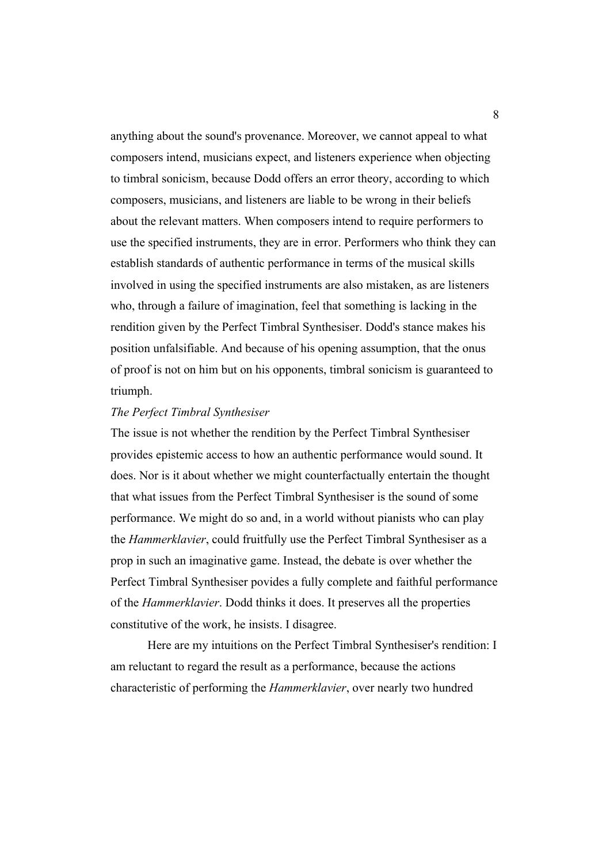anything about the sound's provenance. Moreover, we cannot appeal to what composers intend, musicians expect, and listeners experience when objecting to timbral sonicism, because Dodd offers an error theory, according to which composers, musicians, and listeners are liable to be wrong in their beliefs about the relevant matters. When composers intend to require performers to use the specified instruments, they are in error. Performers who think they can establish standards of authentic performance in terms of the musical skills involved in using the specified instruments are also mistaken, as are listeners who, through a failure of imagination, feel that something is lacking in the rendition given by the Perfect Timbral Synthesiser. Dodd's stance makes his position unfalsifiable. And because of his opening assumption, that the onus of proof is not on him but on his opponents, timbral sonicism is guaranteed to triumph.

### *The Perfect Timbral Synthesiser*

The issue is not whether the rendition by the Perfect Timbral Synthesiser provides epistemic access to how an authentic performance would sound. It does. Nor is it about whether we might counterfactually entertain the thought that what issues from the Perfect Timbral Synthesiser is the sound of some performance. We might do so and, in a world without pianists who can play the *Hammerklavier*, could fruitfully use the Perfect Timbral Synthesiser as a prop in such an imaginative game. Instead, the debate is over whether the Perfect Timbral Synthesiser povides a fully complete and faithful performance of the *Hammerklavier*. Dodd thinks it does. It preserves all the properties constitutive of the work, he insists. I disagree.

Here are my intuitions on the Perfect Timbral Synthesiser's rendition: I am reluctant to regard the result as a performance, because the actions characteristic of performing the *Hammerklavier*, over nearly two hundred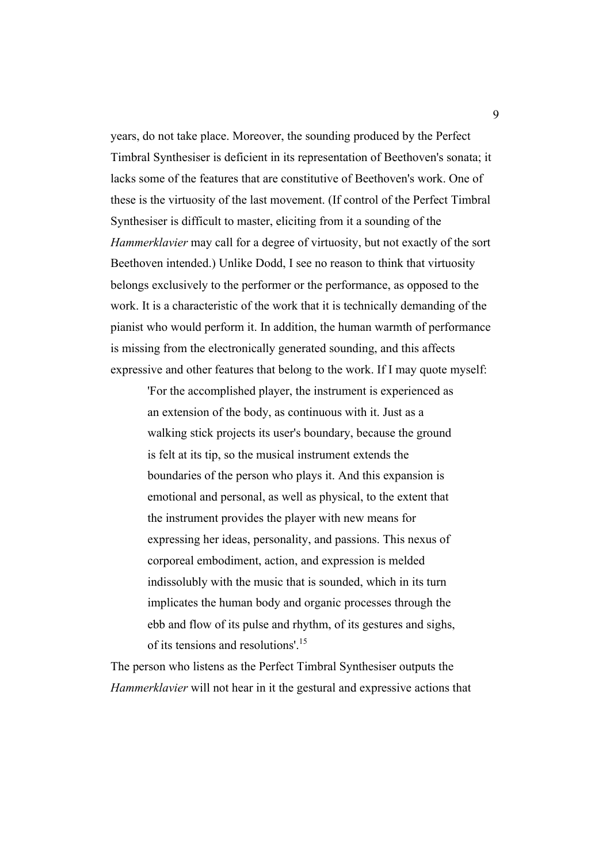years, do not take place. Moreover, the sounding produced by the Perfect Timbral Synthesiser is deficient in its representation of Beethoven's sonata; it lacks some of the features that are constitutive of Beethoven's work. One of these is the virtuosity of the last movement. (If control of the Perfect Timbral Synthesiser is difficult to master, eliciting from it a sounding of the *Hammerklavier* may call for a degree of virtuosity, but not exactly of the sort Beethoven intended.) Unlike Dodd, I see no reason to think that virtuosity belongs exclusively to the performer or the performance, as opposed to the work. It is a characteristic of the work that it is technically demanding of the pianist who would perform it. In addition, the human warmth of performance is missing from the electronically generated sounding, and this affects expressive and other features that belong to the work. If I may quote myself:

'For the accomplished player, the instrument is experienced as an extension of the body, as continuous with it. Just as a walking stick projects its user's boundary, because the ground is felt at its tip, so the musical instrument extends the boundaries of the person who plays it. And this expansion is emotional and personal, as well as physical, to the extent that the instrument provides the player with new means for expressing her ideas, personality, and passions. This nexus of corporeal embodiment, action, and expression is melded indissolubly with the music that is sounded, which in its turn implicates the human body and organic processes through the ebb and flow of its pulse and rhythm, of its gestures and sighs, of its tensions and resolutions'.<sup>15</sup>

The person who listens as the Perfect Timbral Synthesiser outputs the *Hammerklavier* will not hear in it the gestural and expressive actions that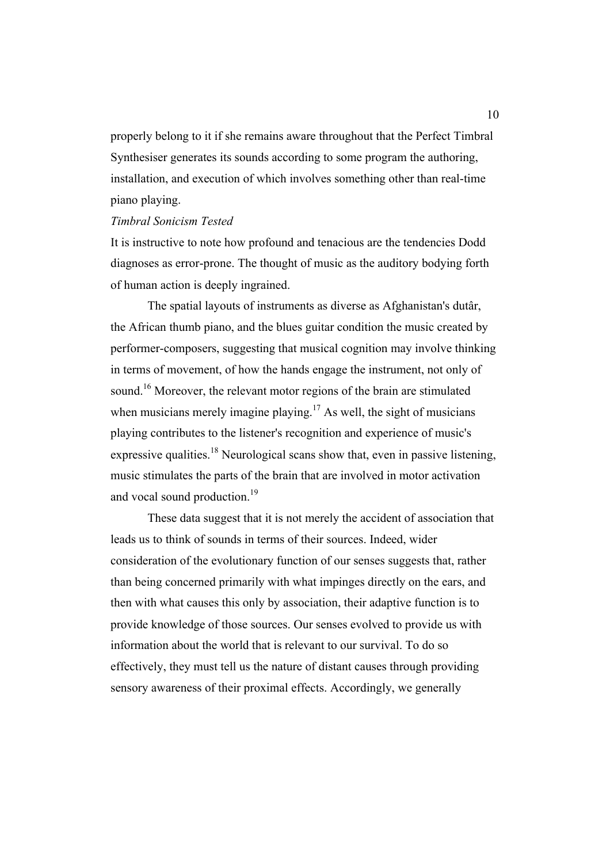properly belong to it if she remains aware throughout that the Perfect Timbral Synthesiser generates its sounds according to some program the authoring, installation, and execution of which involves something other than real-time piano playing.

#### *Timbral Sonicism Tested*

It is instructive to note how profound and tenacious are the tendencies Dodd diagnoses as error-prone. The thought of music as the auditory bodying forth of human action is deeply ingrained.

The spatial layouts of instruments as diverse as Afghanistan's dutâr, the African thumb piano, and the blues guitar condition the music created by performer-composers, suggesting that musical cognition may involve thinking in terms of movement, of how the hands engage the instrument, not only of sound.<sup>16</sup> Moreover, the relevant motor regions of the brain are stimulated when musicians merely imagine playing.<sup>17</sup> As well, the sight of musicians playing contributes to the listener's recognition and experience of music's expressive qualities.<sup>18</sup> Neurological scans show that, even in passive listening, music stimulates the parts of the brain that are involved in motor activation and vocal sound production.<sup>19</sup>

These data suggest that it is not merely the accident of association that leads us to think of sounds in terms of their sources. Indeed, wider consideration of the evolutionary function of our senses suggests that, rather than being concerned primarily with what impinges directly on the ears, and then with what causes this only by association, their adaptive function is to provide knowledge of those sources. Our senses evolved to provide us with information about the world that is relevant to our survival. To do so effectively, they must tell us the nature of distant causes through providing sensory awareness of their proximal effects. Accordingly, we generally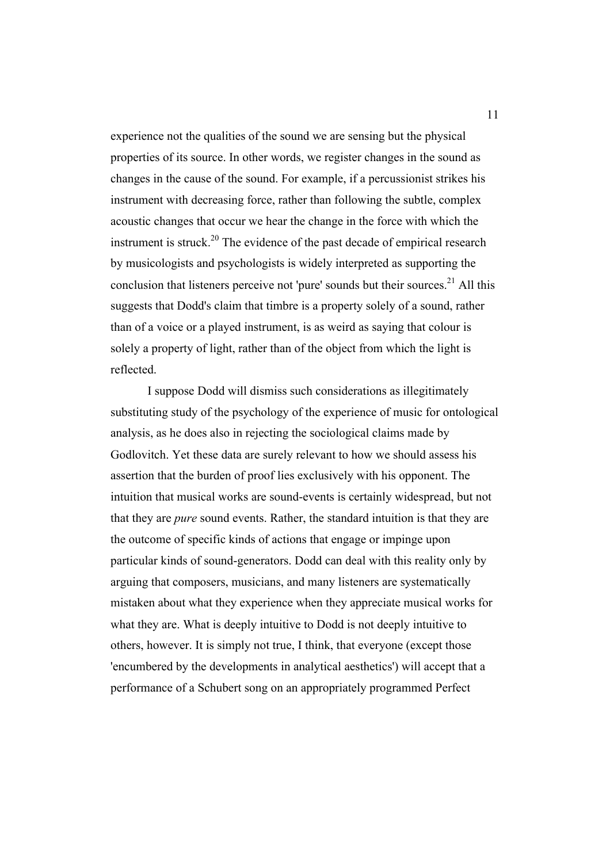experience not the qualities of the sound we are sensing but the physical properties of its source. In other words, we register changes in the sound as changes in the cause of the sound. For example, if a percussionist strikes his instrument with decreasing force, rather than following the subtle, complex acoustic changes that occur we hear the change in the force with which the instrument is struck.<sup>20</sup> The evidence of the past decade of empirical research by musicologists and psychologists is widely interpreted as supporting the conclusion that listeners perceive not 'pure' sounds but their sources.<sup>21</sup> All this suggests that Dodd's claim that timbre is a property solely of a sound, rather than of a voice or a played instrument, is as weird as saying that colour is solely a property of light, rather than of the object from which the light is reflected.

I suppose Dodd will dismiss such considerations as illegitimately substituting study of the psychology of the experience of music for ontological analysis, as he does also in rejecting the sociological claims made by Godlovitch. Yet these data are surely relevant to how we should assess his assertion that the burden of proof lies exclusively with his opponent. The intuition that musical works are sound-events is certainly widespread, but not that they are *pure* sound events. Rather, the standard intuition is that they are the outcome of specific kinds of actions that engage or impinge upon particular kinds of sound-generators. Dodd can deal with this reality only by arguing that composers, musicians, and many listeners are systematically mistaken about what they experience when they appreciate musical works for what they are. What is deeply intuitive to Dodd is not deeply intuitive to others, however. It is simply not true, I think, that everyone (except those 'encumbered by the developments in analytical aesthetics') will accept that a performance of a Schubert song on an appropriately programmed Perfect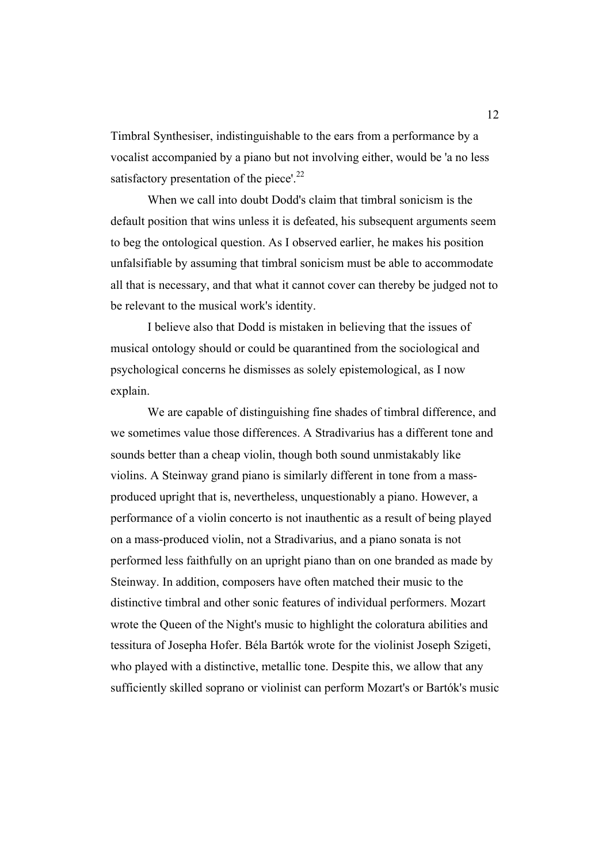Timbral Synthesiser, indistinguishable to the ears from a performance by a vocalist accompanied by a piano but not involving either, would be 'a no less satisfactory presentation of the piece'.<sup>22</sup>

When we call into doubt Dodd's claim that timbral sonicism is the default position that wins unless it is defeated, his subsequent arguments seem to beg the ontological question. As I observed earlier, he makes his position unfalsifiable by assuming that timbral sonicism must be able to accommodate all that is necessary, and that what it cannot cover can thereby be judged not to be relevant to the musical work's identity.

I believe also that Dodd is mistaken in believing that the issues of musical ontology should or could be quarantined from the sociological and psychological concerns he dismisses as solely epistemological, as I now explain.

We are capable of distinguishing fine shades of timbral difference, and we sometimes value those differences. A Stradivarius has a different tone and sounds better than a cheap violin, though both sound unmistakably like violins. A Steinway grand piano is similarly different in tone from a massproduced upright that is, nevertheless, unquestionably a piano. However, a performance of a violin concerto is not inauthentic as a result of being played on a mass-produced violin, not a Stradivarius, and a piano sonata is not performed less faithfully on an upright piano than on one branded as made by Steinway. In addition, composers have often matched their music to the distinctive timbral and other sonic features of individual performers. Mozart wrote the Queen of the Night's music to highlight the coloratura abilities and tessitura of Josepha Hofer. Béla Bartók wrote for the violinist Joseph Szigeti, who played with a distinctive, metallic tone. Despite this, we allow that any sufficiently skilled soprano or violinist can perform Mozart's or Bartók's music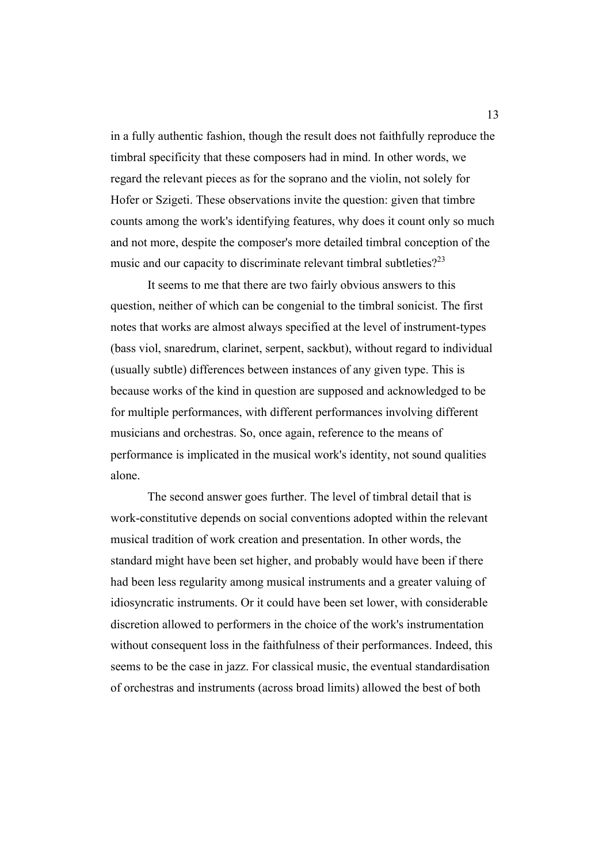in a fully authentic fashion, though the result does not faithfully reproduce the timbral specificity that these composers had in mind. In other words, we regard the relevant pieces as for the soprano and the violin, not solely for Hofer or Szigeti. These observations invite the question: given that timbre counts among the work's identifying features, why does it count only so much and not more, despite the composer's more detailed timbral conception of the music and our capacity to discriminate relevant timbral subtleties?<sup>23</sup>

It seems to me that there are two fairly obvious answers to this question, neither of which can be congenial to the timbral sonicist. The first notes that works are almost always specified at the level of instrument-types (bass viol, snaredrum, clarinet, serpent, sackbut), without regard to individual (usually subtle) differences between instances of any given type. This is because works of the kind in question are supposed and acknowledged to be for multiple performances, with different performances involving different musicians and orchestras. So, once again, reference to the means of performance is implicated in the musical work's identity, not sound qualities alone.

The second answer goes further. The level of timbral detail that is work-constitutive depends on social conventions adopted within the relevant musical tradition of work creation and presentation. In other words, the standard might have been set higher, and probably would have been if there had been less regularity among musical instruments and a greater valuing of idiosyncratic instruments. Or it could have been set lower, with considerable discretion allowed to performers in the choice of the work's instrumentation without consequent loss in the faithfulness of their performances. Indeed, this seems to be the case in jazz. For classical music, the eventual standardisation of orchestras and instruments (across broad limits) allowed the best of both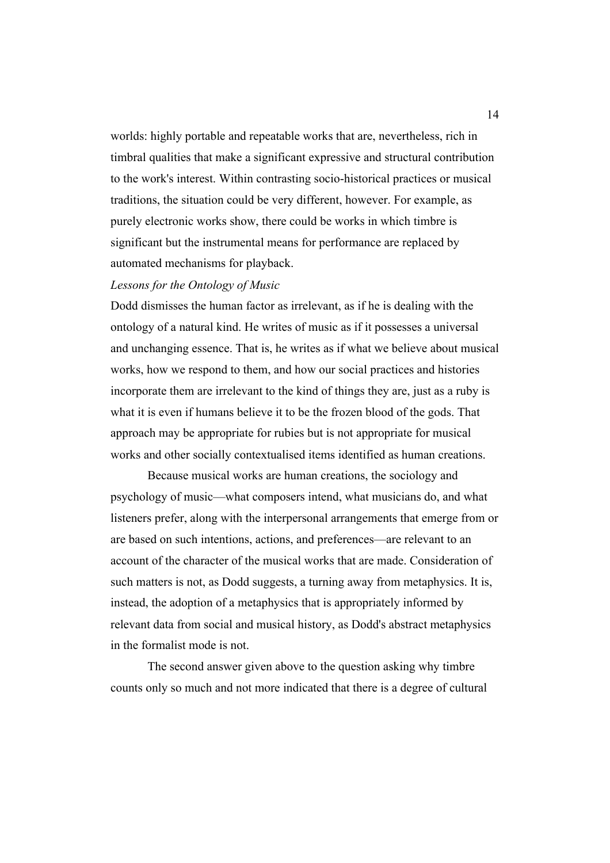worlds: highly portable and repeatable works that are, nevertheless, rich in timbral qualities that make a significant expressive and structural contribution to the work's interest. Within contrasting socio-historical practices or musical traditions, the situation could be very different, however. For example, as purely electronic works show, there could be works in which timbre is significant but the instrumental means for performance are replaced by automated mechanisms for playback.

## *Lessons for the Ontology of Music*

Dodd dismisses the human factor as irrelevant, as if he is dealing with the ontology of a natural kind. He writes of music as if it possesses a universal and unchanging essence. That is, he writes as if what we believe about musical works, how we respond to them, and how our social practices and histories incorporate them are irrelevant to the kind of things they are, just as a ruby is what it is even if humans believe it to be the frozen blood of the gods. That approach may be appropriate for rubies but is not appropriate for musical works and other socially contextualised items identified as human creations.

Because musical works are human creations, the sociology and psychology of music—what composers intend, what musicians do, and what listeners prefer, along with the interpersonal arrangements that emerge from or are based on such intentions, actions, and preferences—are relevant to an account of the character of the musical works that are made. Consideration of such matters is not, as Dodd suggests, a turning away from metaphysics. It is, instead, the adoption of a metaphysics that is appropriately informed by relevant data from social and musical history, as Dodd's abstract metaphysics in the formalist mode is not.

The second answer given above to the question asking why timbre counts only so much and not more indicated that there is a degree of cultural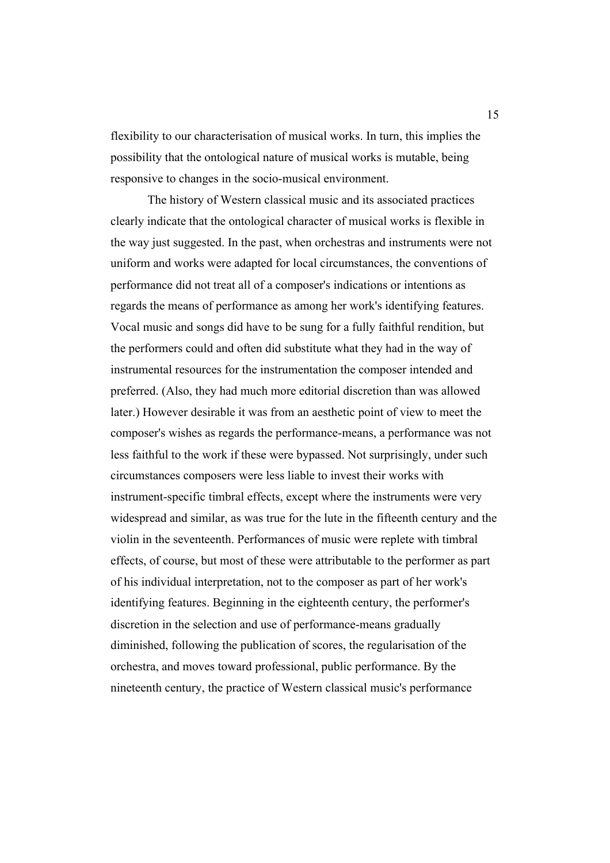flexibility to our characterisation of musical works. In turn, this implies the possibility that the ontological nature of musical works is mutable, being responsive to changes in the socio-musical environment.

The history of Western classical music and its associated practices clearly indicate that the ontological character of musical works is flexible in the way just suggested. In the past, when orchestras and instruments were not uniform and works were adapted for local circumstances, the conventions of performance did not treat all of a composer's indications or intentions as regards the means of performance as among her work's identifying features. Vocal music and songs did have to be sung for a fully faithful rendition, but the performers could and often did substitute what they had in the way of instrumental resources for the instrumentation the composer intended and preferred. (Also, they had much more editorial discretion than was allowed later.) However desirable it was from an aesthetic point of view to meet the composer's wishes as regards the performance-means, a performance was not less faithful to the work if these were bypassed. Not surprisingly, under such circumstances composers were less liable to invest their works with instrument-specific timbral effects, except where the instruments were very widespread and similar, as was true for the lute in the fifteenth century and the violin in the seventeenth. Performances of music were replete with timbral effects, of course, but most of these were attributable to the performer as part of his individual interpretation, not to the composer as part of her work's identifying features. Beginning in the eighteenth century, the performer's discretion in the selection and use of performance-means gradually diminished, following the publication of scores, the regularisation of the orchestra, and moves toward professional, public performance. By the nineteenth century, the practice of Western classical music's performance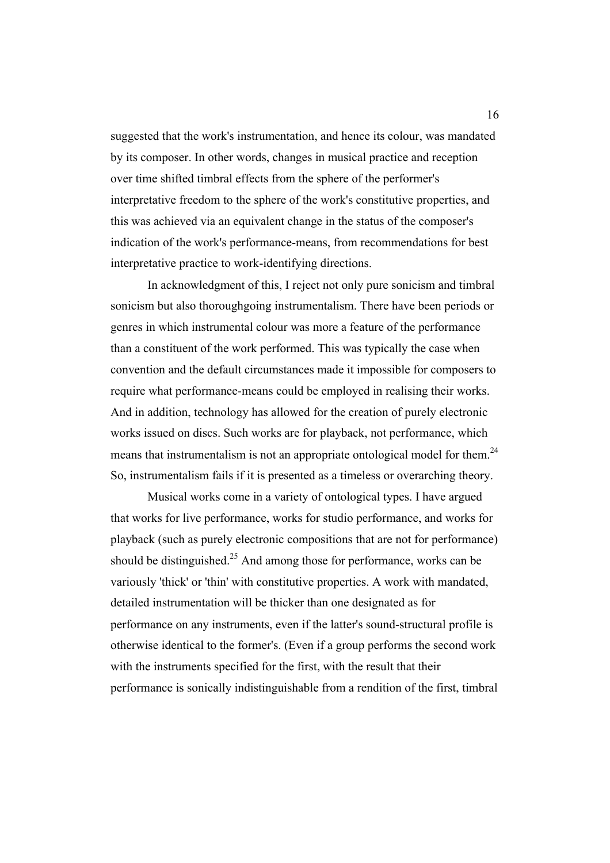suggested that the work's instrumentation, and hence its colour, was mandated by its composer. In other words, changes in musical practice and reception over time shifted timbral effects from the sphere of the performer's interpretative freedom to the sphere of the work's constitutive properties, and this was achieved via an equivalent change in the status of the composer's indication of the work's performance-means, from recommendations for best interpretative practice to work-identifying directions.

In acknowledgment of this, I reject not only pure sonicism and timbral sonicism but also thoroughgoing instrumentalism. There have been periods or genres in which instrumental colour was more a feature of the performance than a constituent of the work performed. This was typically the case when convention and the default circumstances made it impossible for composers to require what performance-means could be employed in realising their works. And in addition, technology has allowed for the creation of purely electronic works issued on discs. Such works are for playback, not performance, which means that instrumentalism is not an appropriate ontological model for them.<sup>24</sup> So, instrumentalism fails if it is presented as a timeless or overarching theory.

Musical works come in a variety of ontological types. I have argued that works for live performance, works for studio performance, and works for playback (such as purely electronic compositions that are not for performance) should be distinguished.<sup>25</sup> And among those for performance, works can be variously 'thick' or 'thin' with constitutive properties. A work with mandated, detailed instrumentation will be thicker than one designated as for performance on any instruments, even if the latter's sound-structural profile is otherwise identical to the former's. (Even if a group performs the second work with the instruments specified for the first, with the result that their performance is sonically indistinguishable from a rendition of the first, timbral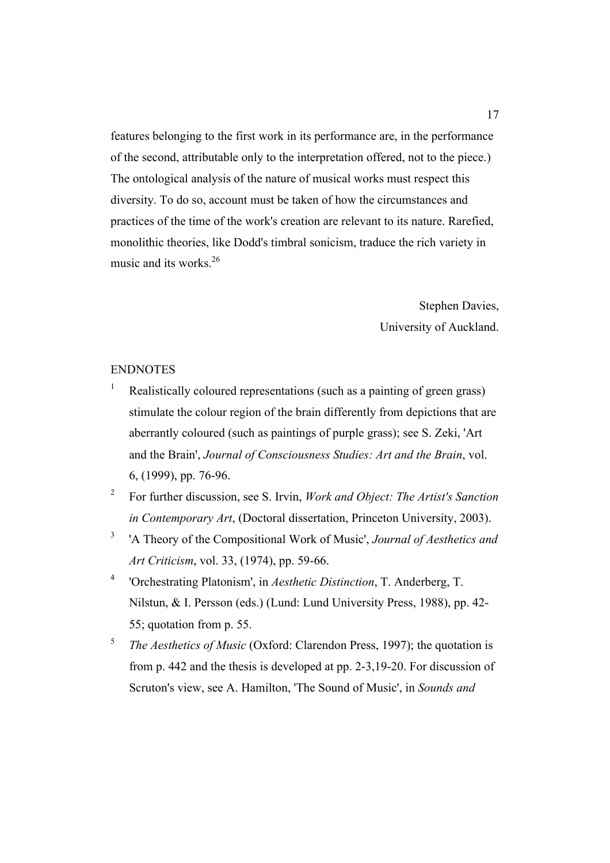features belonging to the first work in its performance are, in the performance of the second, attributable only to the interpretation offered, not to the piece.) The ontological analysis of the nature of musical works must respect this diversity. To do so, account must be taken of how the circumstances and practices of the time of the work's creation are relevant to its nature. Rarefied, monolithic theories, like Dodd's timbral sonicism, traduce the rich variety in music and its works. $26$ 

> Stephen Davies, University of Auckland.

#### ENDNOTES

- <sup>1</sup> Realistically coloured representations (such as a painting of green grass) stimulate the colour region of the brain differently from depictions that are aberrantly coloured (such as paintings of purple grass); see S. Zeki, 'Art and the Brain', *Journal of Consciousness Studies: Art and the Brain*, vol. 6, (1999), pp. 76-96.
- <sup>2</sup> For further discussion, see S. Irvin, *Work and Object: The Artist's Sanction in Contemporary Art*, (Doctoral dissertation, Princeton University, 2003).
- <sup>3</sup> 'A Theory of the Compositional Work of Music', *Journal of Aesthetics and Art Criticism*, vol. 33, (1974), pp. 59-66.
- <sup>4</sup> 'Orchestrating Platonism', in *Aesthetic Distinction*, T. Anderberg, T. Nilstun, & I. Persson (eds.) (Lund: Lund University Press, 1988), pp. 42- 55; quotation from p. 55.
- <sup>5</sup> *The Aesthetics of Music* (Oxford: Clarendon Press, 1997); the quotation is from p. 442 and the thesis is developed at pp. 2-3,19-20. For discussion of Scruton's view, see A. Hamilton, 'The Sound of Music', in *Sounds and*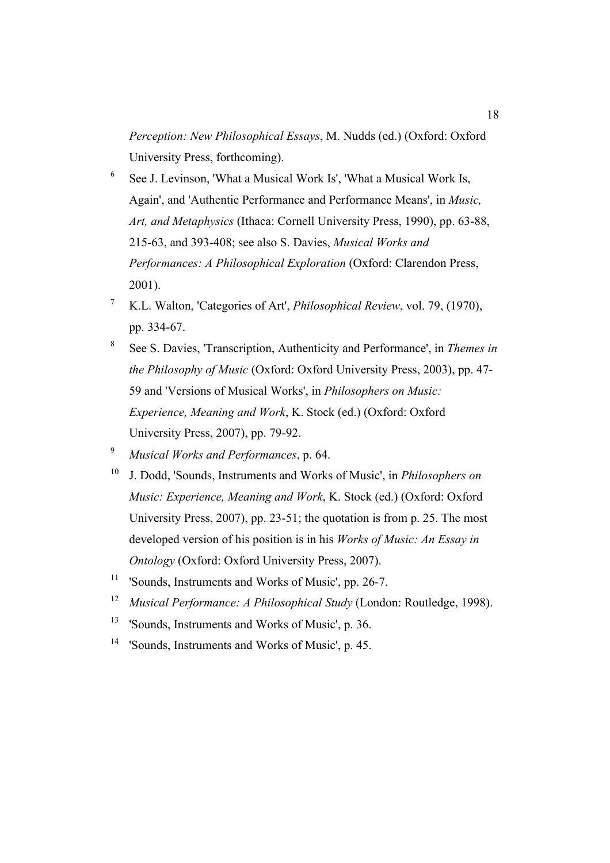*Perception: New Philosophical Essays*, M. Nudds (ed.) (Oxford: Oxford University Press, forthcoming).

- <sup>6</sup> See J. Levinson, 'What a Musical Work Is', 'What a Musical Work Is, Again', and 'Authentic Performance and Performance Means', in *Music, Art, and Metaphysics* (Ithaca: Cornell University Press, 1990), pp. 63-88, 215-63, and 393-408; see also S. Davies, *Musical Works and Performances: A Philosophical Exploration* (Oxford: Clarendon Press, 2001).
- <sup>7</sup> K.L. Walton, 'Categories of Art', *Philosophical Review*, vol. 79, (1970), pp. 334-67.
- <sup>8</sup> See S. Davies, 'Transcription, Authenticity and Performance', in *Themes in the Philosophy of Music* (Oxford: Oxford University Press, 2003), pp. 47- 59 and 'Versions of Musical Works', in *Philosophers on Music: Experience, Meaning and Work*, K. Stock (ed.) (Oxford: Oxford University Press, 2007), pp. 79-92.
- <sup>9</sup> *Musical Works and Performances*, p. 64.
- <sup>10</sup> J. Dodd, 'Sounds, Instruments and Works of Music', in *Philosophers on Music: Experience, Meaning and Work*, K. Stock (ed.) (Oxford: Oxford University Press, 2007), pp. 23-51; the quotation is from p. 25. The most developed version of his position is in his *Works of Music: An Essay in Ontology* (Oxford: Oxford University Press, 2007).
- <sup>11</sup> 'Sounds, Instruments and Works of Music', pp. 26-7.
- <sup>12</sup> *Musical Performance: A Philosophical Study* (London: Routledge, 1998).
- <sup>13</sup> 'Sounds, Instruments and Works of Music', p. 36.
- <sup>14</sup> 'Sounds, Instruments and Works of Music', p. 45.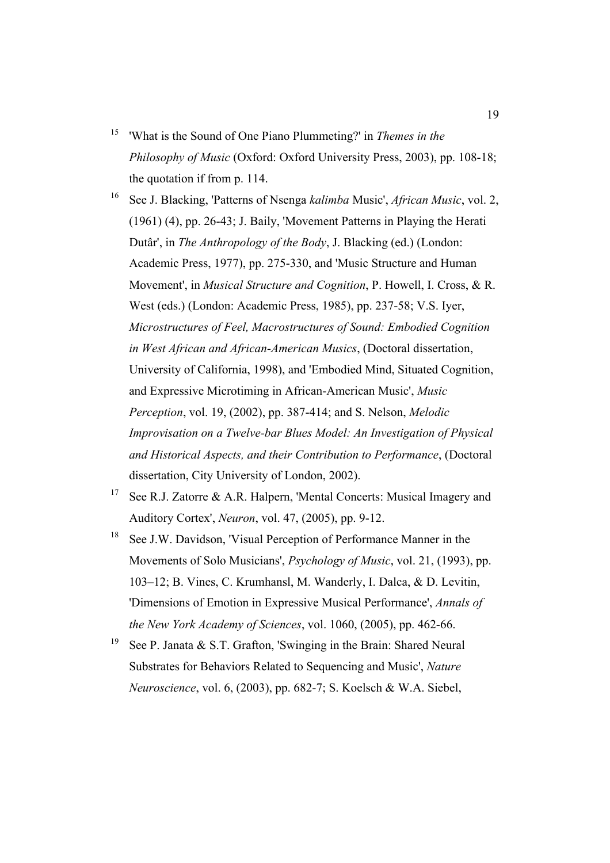<sup>15</sup> 'What is the Sound of One Piano Plummeting?' in *Themes in the Philosophy of Music* (Oxford: Oxford University Press, 2003), pp. 108-18; the quotation if from p. 114.

<sup>16</sup> See J. Blacking, 'Patterns of Nsenga *kalimba* Music', *African Music*, vol. 2, (1961) (4), pp. 26-43; J. Baily, 'Movement Patterns in Playing the Herati Dutâr', in *The Anthropology of the Body*, J. Blacking (ed.) (London: Academic Press, 1977), pp. 275-330, and 'Music Structure and Human Movement', in *Musical Structure and Cognition*, P. Howell, I. Cross, & R. West (eds.) (London: Academic Press, 1985), pp. 237-58; V.S. Iyer, *Microstructures of Feel, Macrostructures of Sound: Embodied Cognition in West African and African-American Musics*, (Doctoral dissertation, University of California, 1998), and 'Embodied Mind, Situated Cognition, and Expressive Microtiming in African-American Music', *Music Perception*, vol. 19, (2002), pp. 387-414; and S. Nelson, *Melodic Improvisation on a Twelve-bar Blues Model: An Investigation of Physical and Historical Aspects, and their Contribution to Performance*, (Doctoral dissertation, City University of London, 2002).

- <sup>17</sup> See R.J. Zatorre & A.R. Halpern, 'Mental Concerts: Musical Imagery and Auditory Cortex', *Neuron*, vol. 47, (2005), pp. 9-12.
- <sup>18</sup> See J.W. Davidson, 'Visual Perception of Performance Manner in the Movements of Solo Musicians', *Psychology of Music*, vol. 21, (1993), pp. 103–12; B. Vines, C. Krumhansl, M. Wanderly, I. Dalca, & D. Levitin, 'Dimensions of Emotion in Expressive Musical Performance', *Annals of the New York Academy of Sciences*, vol. 1060, (2005), pp. 462-66.
- <sup>19</sup> See P. Janata & S.T. Grafton, 'Swinging in the Brain: Shared Neural Substrates for Behaviors Related to Sequencing and Music', *Nature Neuroscience*, vol. 6, (2003), pp. 682-7; S. Koelsch & W.A. Siebel,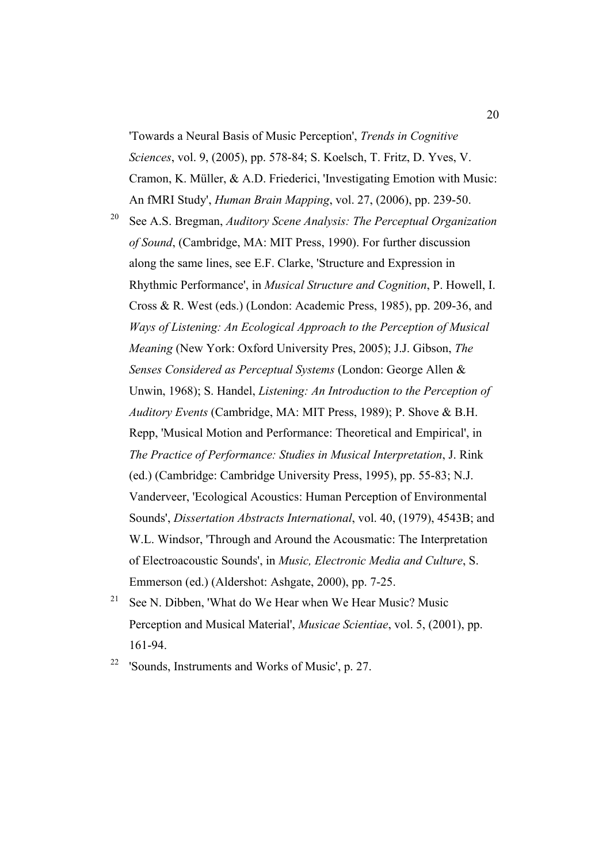'Towards a Neural Basis of Music Perception', *Trends in Cognitive Sciences*, vol. 9, (2005), pp. 578-84; S. Koelsch, T. Fritz, D. Yves, V. Cramon, K. Müller, & A.D. Friederici, 'Investigating Emotion with Music: An fMRI Study', *Human Brain Mapping*, vol. 27, (2006), pp. 239-50.

<sup>20</sup> See A.S. Bregman, *Auditory Scene Analysis: The Perceptual Organization of Sound*, (Cambridge, MA: MIT Press, 1990). For further discussion along the same lines, see E.F. Clarke, 'Structure and Expression in Rhythmic Performance', in *Musical Structure and Cognition*, P. Howell, I. Cross & R. West (eds.) (London: Academic Press, 1985), pp. 209-36, and *Ways of Listening: An Ecological Approach to the Perception of Musical Meaning* (New York: Oxford University Pres, 2005); J.J. Gibson, *The Senses Considered as Perceptual Systems* (London: George Allen & Unwin, 1968); S. Handel, *Listening: An Introduction to the Perception of Auditory Events* (Cambridge, MA: MIT Press, 1989); P. Shove & B.H. Repp, 'Musical Motion and Performance: Theoretical and Empirical', in *The Practice of Performance: Studies in Musical Interpretation*, J. Rink (ed.) (Cambridge: Cambridge University Press, 1995), pp. 55-83; N.J. Vanderveer, 'Ecological Acoustics: Human Perception of Environmental Sounds', *Dissertation Abstracts International*, vol. 40, (1979), 4543B; and W.L. Windsor, 'Through and Around the Acousmatic: The Interpretation of Electroacoustic Sounds', in *Music, Electronic Media and Culture*, S. Emmerson (ed.) (Aldershot: Ashgate, 2000), pp. 7-25.

- <sup>21</sup> See N. Dibben, 'What do We Hear when We Hear Music? Music Perception and Musical Material', *Musicae Scientiae*, vol. 5, (2001), pp. 161-94.
- $22$  'Sounds, Instruments and Works of Music', p. 27.